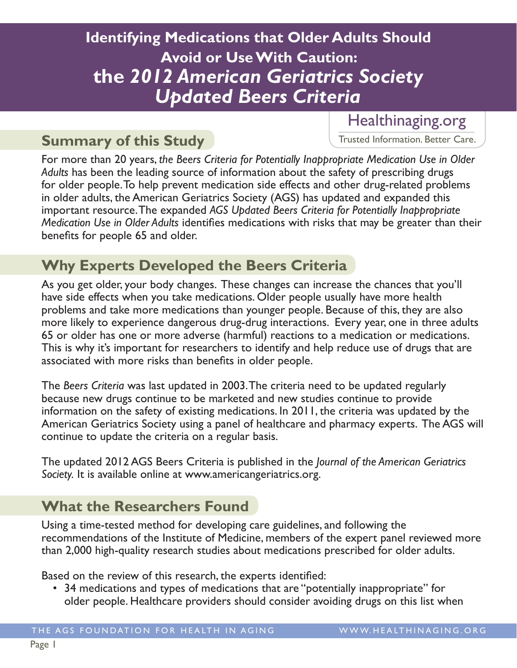# **Identifying Medications that Older Adults Should Avoid or Use With Caution: the** *2012 American Geriatrics Society Updated Beers Criteria*

## **Summary of this Study**

### Healthinaging.org

Trusted Information. Better Care.

For more than 20 years, *the Beers Criteria for Potentially Inappropriate Medication Use in Older Adults* has been the leading source of information about the safety of prescribing drugs for older people. To help prevent medication side effects and other drug-related problems in older adults, the American Geriatrics Society (AGS) has updated and expanded this important resource. The expanded *AGS Updated Beers Criteria for Potentially Inappropriate Medication Use in Older Adults* identifies medications with risks that may be greater than their benefits for people 65 and older.

## **Why Experts Developed the Beers Criteria**

As you get older, your body changes. These changes can increase the chances that you'll have side effects when you take medications. Older people usually have more health problems and take more medications than younger people. Because of this, they are also more likely to experience dangerous drug-drug interactions. Every year, one in three adults 65 or older has one or more adverse (harmful) reactions to a medication or medications. This is why it's important for researchers to identify and help reduce use of drugs that are associated with more risks than benefits in older people.

The *Beers Criteria* was last updated in 2003. The criteria need to be updated regularly because new drugs continue to be marketed and new studies continue to provide information on the safety of existing medications. In 2011, the criteria was updated by the American Geriatrics Society using a panel of healthcare and pharmacy experts. The AGS will continue to update the criteria on a regular basis.

The updated 2012 AGS Beers Criteria is published in the *Journal of the American Geriatrics Society.* It is available online at www.americangeriatrics.org.

# **What the Researchers Found**

Using a time-tested method for developing care guidelines, and following the recommendations of the Institute of Medicine, members of the expert panel reviewed more than 2,000 high-quality research studies about medications prescribed for older adults.

Based on the review of this research, the experts identified:

• 34 medications and types of medications that are "potentially inappropriate" for older people. Healthcare providers should consider avoiding drugs on this list when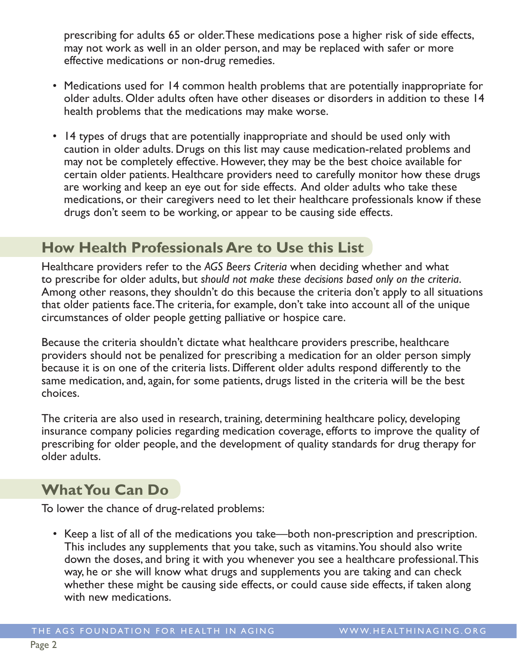prescribing for adults 65 or older. These medications pose a higher risk of side effects, may not work as well in an older person, and may be replaced with safer or more effective medications or non-drug remedies.

- Medications used for 14 common health problems that are potentially inappropriate for older adults. Older adults often have other diseases or disorders in addition to these 14 health problems that the medications may make worse.
- 14 types of drugs that are potentially inappropriate and should be used only with caution in older adults. Drugs on this list may cause medication-related problems and may not be completely effective. However, they may be the best choice available for certain older patients. Healthcare providers need to carefully monitor how these drugs are working and keep an eye out for side effects. And older adults who take these medications, or their caregivers need to let their healthcare professionals know if these drugs don't seem to be working, or appear to be causing side effects.

#### **How Health Professionals Are to Use this List**

Healthcare providers refer to the *AGS Beers Criteria* when deciding whether and what to prescribe for older adults, but *should not make these decisions based only on the criteria*. Among other reasons, they shouldn't do this because the criteria don't apply to all situations that older patients face. The criteria, for example, don't take into account all of the unique circumstances of older people getting palliative or hospice care.

Because the criteria shouldn't dictate what healthcare providers prescribe, healthcare providers should not be penalized for prescribing a medication for an older person simply because it is on one of the criteria lists. Different older adults respond differently to the same medication, and, again, for some patients, drugs listed in the criteria will be the best choices.

The criteria are also used in research, training, determining healthcare policy, developing insurance company policies regarding medication coverage, efforts to improve the quality of prescribing for older people, and the development of quality standards for drug therapy for older adults.

## **What You Can Do**

To lower the chance of drug-related problems:

• Keep a list of all of the medications you take—both non-prescription and prescription. This includes any supplements that you take, such as vitamins. You should also write down the doses, and bring it with you whenever you see a healthcare professional. This way, he or she will know what drugs and supplements you are taking and can check whether these might be causing side effects, or could cause side effects, if taken along with new medications.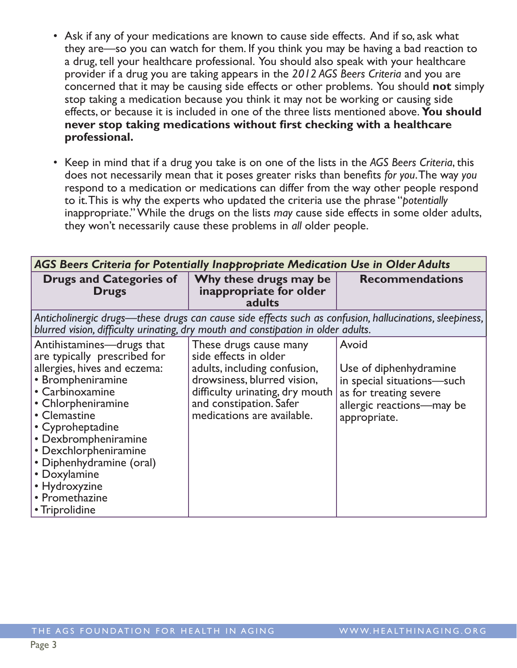- Ask if any of your medications are known to cause side effects. And if so, ask what they are—so you can watch for them. If you think you may be having a bad reaction to a drug, tell your healthcare professional. You should also speak with your healthcare provider if a drug you are taking appears in the *2012 AGS Beers Criteria* and you are concerned that it may be causing side effects or other problems. You should **not** simply stop taking a medication because you think it may not be working or causing side effects, or because it is included in one of the three lists mentioned above. **You should never stop taking medications without first checking with a healthcare professional.**
- Keep in mind that if a drug you take is on one of the lists in the *AGS Beers Criteria*, this does not necessarily mean that it poses greater risks than benefits *for you*. The way *you* respond to a medication or medications can differ from the way other people respond to it. This is why the experts who updated the criteria use the phrase "*potentially* inappropriate." While the drugs on the lists *may* cause side effects in some older adults, they won't necessarily cause these problems in *all* older people.

| AGS Beers Criteria for Potentially Inappropriate Medication Use in Older Adults                                                                                                                                                                                                                                                               |                                                                                                                                                                                                            |                                                                                                                                      |
|-----------------------------------------------------------------------------------------------------------------------------------------------------------------------------------------------------------------------------------------------------------------------------------------------------------------------------------------------|------------------------------------------------------------------------------------------------------------------------------------------------------------------------------------------------------------|--------------------------------------------------------------------------------------------------------------------------------------|
| <b>Drugs and Categories of</b><br><b>Drugs</b>                                                                                                                                                                                                                                                                                                | Why these drugs may be<br>inappropriate for older<br>adults                                                                                                                                                | <b>Recommendations</b>                                                                                                               |
| Anticholinergic drugs—these drugs can cause side effects such as confusion, hallucinations, sleepiness,<br>blurred vision, difficulty urinating, dry mouth and constipation in older adults.                                                                                                                                                  |                                                                                                                                                                                                            |                                                                                                                                      |
| Antihistamines—drugs that<br>are typically prescribed for<br>allergies, hives and eczema:<br>• Brompheniramine<br>• Carbinoxamine<br>• Chlorpheniramine<br>• Clemastine<br>• Cyproheptadine<br>• Dexbrompheniramine<br>• Dexchlorpheniramine<br>• Diphenhydramine (oral)<br>• Doxylamine<br>• Hydroxyzine<br>• Promethazine<br>• Triprolidine | These drugs cause many<br>side effects in older<br>adults, including confusion,<br>drowsiness, blurred vision,<br>difficulty urinating, dry mouth<br>and constipation. Safer<br>medications are available. | Avoid<br>Use of diphenhydramine<br>in special situations-such<br>as for treating severe<br>allergic reactions-may be<br>appropriate. |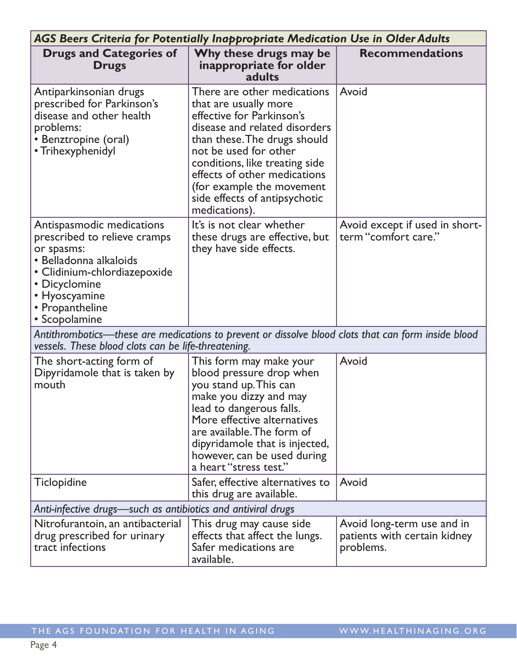| <b>AGS Beers Criteria for Potentially Inappropriate Medication Use in Older Adults</b>                                                                                                                  |                                                                                                                                                                                                                                                                                                                              |                                                                         |  |
|---------------------------------------------------------------------------------------------------------------------------------------------------------------------------------------------------------|------------------------------------------------------------------------------------------------------------------------------------------------------------------------------------------------------------------------------------------------------------------------------------------------------------------------------|-------------------------------------------------------------------------|--|
| <b>Drugs and Categories of</b><br><b>Drugs</b>                                                                                                                                                          | Why these drugs may be<br>inappropriate for older<br>adults                                                                                                                                                                                                                                                                  | <b>Recommendations</b>                                                  |  |
| Antiparkinsonian drugs<br>prescribed for Parkinson's<br>disease and other health<br>problems:<br>• Benztropine (oral)<br>• Trihexyphenidyl                                                              | There are other medications<br>that are usually more<br>effective for Parkinson's<br>disease and related disorders<br>than these. The drugs should<br>not be used for other<br>conditions, like treating side<br>effects of other medications<br>(for example the movement<br>side effects of antipsychotic<br>medications). | Avoid                                                                   |  |
| Antispasmodic medications<br>prescribed to relieve cramps<br>or spasms:<br>• Belladonna alkaloids<br>• Clidinium-chlordiazepoxide<br>• Dicyclomine<br>• Hyoscyamine<br>• Propantheline<br>• Scopolamine | It's is not clear whether<br>these drugs are effective, but<br>they have side effects.                                                                                                                                                                                                                                       | Avoid except if used in short-<br>term "comfort care."                  |  |
| Antithrombotics—these are medications to prevent or dissolve blood clots that can form inside blood<br>vessels. These blood clots can be life-threatening.                                              |                                                                                                                                                                                                                                                                                                                              |                                                                         |  |
| The short-acting form of<br>Dipyridamole that is taken by<br>mouth                                                                                                                                      | This form may make your<br>blood pressure drop when<br>you stand up. This can<br>make you dizzy and may<br>lead to dangerous falls.<br>More effective alternatives<br>are available. The form of<br>dipyridamole that is injected,<br>however, can be used during<br>a heart "stress test."                                  | Avoid                                                                   |  |
| <b>Ticlopidine</b>                                                                                                                                                                                      | Safer, effective alternatives to<br>this drug are available.                                                                                                                                                                                                                                                                 | Avoid                                                                   |  |
| Anti-infective drugs—such as antibiotics and antiviral drugs                                                                                                                                            |                                                                                                                                                                                                                                                                                                                              |                                                                         |  |
| Nitrofurantoin, an antibacterial<br>drug prescribed for urinary<br>tract infections                                                                                                                     | This drug may cause side<br>effects that affect the lungs.<br>Safer medications are<br>available.                                                                                                                                                                                                                            | Avoid long-term use and in<br>patients with certain kidney<br>problems. |  |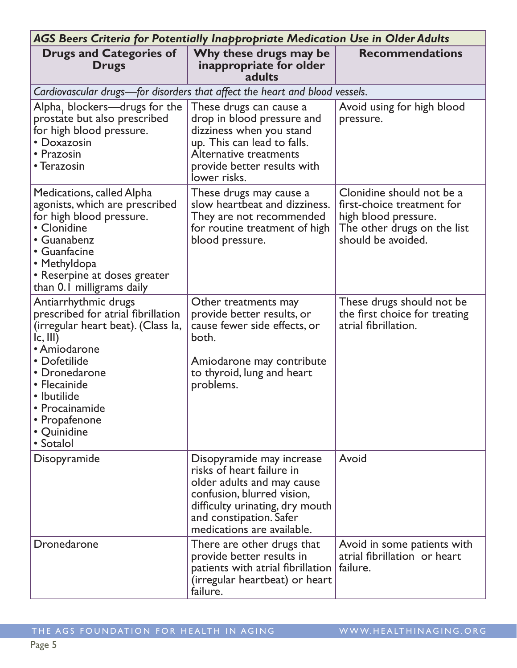| AGS Beers Criteria for Potentially Inappropriate Medication Use in Older Adults                                                                                                                                                                            |                                                                                                                                                                                                                |                                                                                                                                      |  |
|------------------------------------------------------------------------------------------------------------------------------------------------------------------------------------------------------------------------------------------------------------|----------------------------------------------------------------------------------------------------------------------------------------------------------------------------------------------------------------|--------------------------------------------------------------------------------------------------------------------------------------|--|
| <b>Drugs and Categories of</b><br><b>Drugs</b>                                                                                                                                                                                                             | Why these drugs may be<br>inappropriate for older<br>adults                                                                                                                                                    | <b>Recommendations</b>                                                                                                               |  |
| Cardiovascular drugs-for disorders that affect the heart and blood vessels.                                                                                                                                                                                |                                                                                                                                                                                                                |                                                                                                                                      |  |
| Alpha, blockers-drugs for the<br>prostate but also prescribed<br>for high blood pressure.<br>• Doxazosin<br>• Prazosin<br>• Terazosin                                                                                                                      | These drugs can cause a<br>drop in blood pressure and<br>dizziness when you stand<br>up. This can lead to falls.<br>Alternative treatments<br>provide better results with<br>lower risks.                      | Avoid using for high blood<br>pressure.                                                                                              |  |
| <b>Medications, called Alpha</b><br>agonists, which are prescribed<br>for high blood pressure.<br>• Clonidine<br>• Guanabenz<br>• Guanfacine<br>• Methyldopa<br>• Reserpine at doses greater<br>than 0.1 milligrams daily                                  | These drugs may cause a<br>slow heartbeat and dizziness.<br>They are not recommended<br>for routine treatment of high<br>blood pressure.                                                                       | Clonidine should not be a<br>first-choice treatment for<br>high blood pressure.<br>The other drugs on the list<br>should be avoided. |  |
| Antiarrhythmic drugs<br>prescribed for atrial fibrillation<br>(irregular heart beat). (Class la,<br> c,    <br>• Amiodarone<br>• Dofetilide<br>• Dronedarone<br>• Flecainide<br>• Ibutilide<br>• Procainamide<br>• Propafenone<br>• Quinidine<br>• Sotalol | Other treatments may<br>provide better results, or<br>cause fewer side effects, or<br>both.<br>Amiodarone may contribute<br>to thyroid, lung and heart<br>problems.                                            | These drugs should not be<br>the first choice for treating<br>atrial fibrillation.                                                   |  |
| Disopyramide                                                                                                                                                                                                                                               | Disopyramide may increase<br>risks of heart failure in<br>older adults and may cause<br>confusion, blurred vision,<br>difficulty urinating, dry mouth<br>and constipation. Safer<br>medications are available. | Avoid                                                                                                                                |  |
| Dronedarone                                                                                                                                                                                                                                                | There are other drugs that<br>provide better results in<br>patients with atrial fibrillation<br>(irregular heartbeat) or heart<br>failure.                                                                     | Avoid in some patients with<br>atrial fibrillation or heart<br>failure.                                                              |  |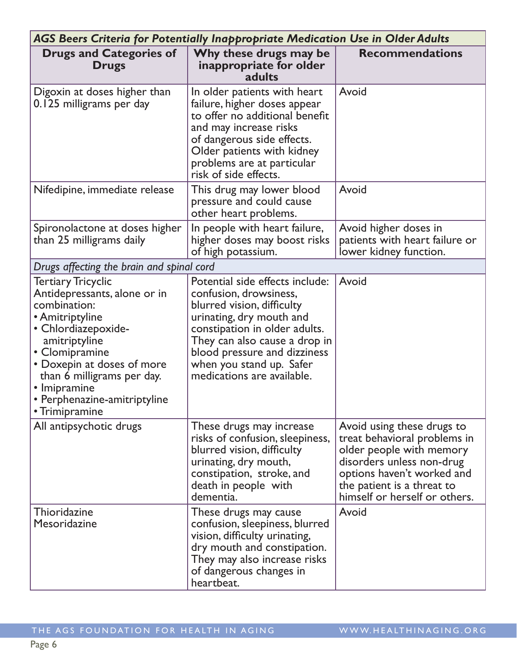|                                                                                                                                                                                                                                                                                      | <b>AGS Beers Criteria for Potentially Inappropriate Medication Use in Older Adults</b>                                                                                                                                                                                          |                                                                                                                                                                                                                  |  |  |
|--------------------------------------------------------------------------------------------------------------------------------------------------------------------------------------------------------------------------------------------------------------------------------------|---------------------------------------------------------------------------------------------------------------------------------------------------------------------------------------------------------------------------------------------------------------------------------|------------------------------------------------------------------------------------------------------------------------------------------------------------------------------------------------------------------|--|--|
| <b>Drugs and Categories of</b><br><b>Drugs</b>                                                                                                                                                                                                                                       | Why these drugs may be<br>inappropriate for older<br>adults                                                                                                                                                                                                                     | <b>Recommendations</b>                                                                                                                                                                                           |  |  |
| Digoxin at doses higher than<br>0.125 milligrams per day                                                                                                                                                                                                                             | In older patients with heart<br>failure, higher doses appear<br>to offer no additional benefit<br>and may increase risks<br>of dangerous side effects.<br>Older patients with kidney<br>problems are at particular<br>risk of side effects.                                     | Avoid                                                                                                                                                                                                            |  |  |
| Nifedipine, immediate release                                                                                                                                                                                                                                                        | This drug may lower blood<br>pressure and could cause<br>other heart problems.                                                                                                                                                                                                  | Avoid                                                                                                                                                                                                            |  |  |
| Spironolactone at doses higher<br>than 25 milligrams daily                                                                                                                                                                                                                           | In people with heart failure,<br>higher doses may boost risks<br>of high potassium.                                                                                                                                                                                             | Avoid higher doses in<br>patients with heart failure or<br>lower kidney function.                                                                                                                                |  |  |
| Drugs affecting the brain and spinal cord                                                                                                                                                                                                                                            |                                                                                                                                                                                                                                                                                 |                                                                                                                                                                                                                  |  |  |
| <b>Tertiary Tricyclic</b><br>Antidepressants, alone or in<br>combination:<br>• Amitriptyline<br>· Chlordiazepoxide-<br>amitriptyline<br>• Clomipramine<br>• Doxepin at doses of more<br>than 6 milligrams per day.<br>• Imipramine<br>• Perphenazine-amitriptyline<br>• Trimipramine | Potential side effects include:<br>confusion, drowsiness,<br>blurred vision, difficulty<br>urinating, dry mouth and<br>constipation in older adults.<br>They can also cause a drop in<br>blood pressure and dizziness<br>when you stand up. Safer<br>medications are available. | Avoid                                                                                                                                                                                                            |  |  |
| All antipsychotic drugs                                                                                                                                                                                                                                                              | These drugs may increase<br>risks of confusion, sleepiness,<br>blurred vision, difficulty<br>urinating, dry mouth,<br>constipation, stroke, and<br>death in people with<br>dementia.                                                                                            | Avoid using these drugs to<br>treat behavioral problems in<br>older people with memory<br>disorders unless non-drug<br>options haven't worked and<br>the patient is a threat to<br>himself or herself or others. |  |  |
| Thioridazine<br>Mesoridazine                                                                                                                                                                                                                                                         | These drugs may cause<br>confusion, sleepiness, blurred<br>vision, difficulty urinating,<br>dry mouth and constipation.<br>They may also increase risks<br>of dangerous changes in<br>heartbeat.                                                                                | Avoid                                                                                                                                                                                                            |  |  |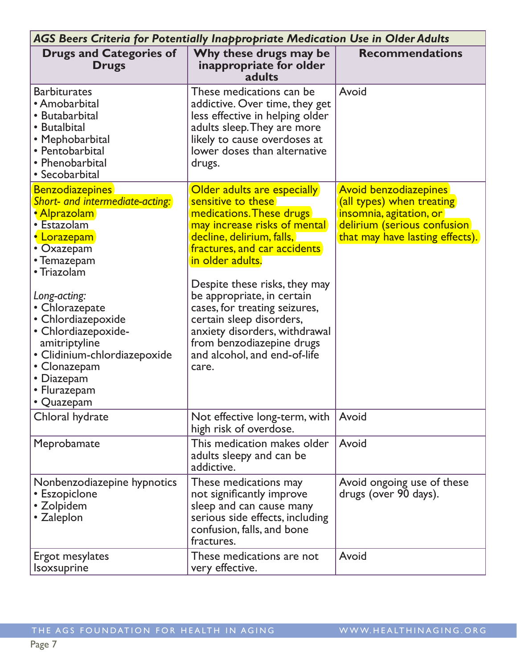| <b>AGS Beers Criteria for Potentially Inappropriate Medication Use in Older Adults</b>                                                                                                                                                                                                                                                          |                                                                                                                                                                                                                                                                                                                                                                                                                                   |                                                                                                                                                         |  |  |
|-------------------------------------------------------------------------------------------------------------------------------------------------------------------------------------------------------------------------------------------------------------------------------------------------------------------------------------------------|-----------------------------------------------------------------------------------------------------------------------------------------------------------------------------------------------------------------------------------------------------------------------------------------------------------------------------------------------------------------------------------------------------------------------------------|---------------------------------------------------------------------------------------------------------------------------------------------------------|--|--|
| <b>Drugs and Categories of</b><br><b>Drugs</b>                                                                                                                                                                                                                                                                                                  | Why these drugs may be<br>inappropriate for older<br>adults                                                                                                                                                                                                                                                                                                                                                                       | <b>Recommendations</b>                                                                                                                                  |  |  |
| <b>Barbiturates</b><br>• Amobarbital<br>• Butabarbital<br>• Butalbital<br>• Mephobarbital<br>• Pentobarbital<br>• Phenobarbital<br>• Secobarbital                                                                                                                                                                                               | These medications can be<br>addictive. Over time, they get<br>less effective in helping older<br>adults sleep. They are more<br>likely to cause overdoses at<br>lower doses than alternative<br>drugs.                                                                                                                                                                                                                            | Avoid                                                                                                                                                   |  |  |
| <b>Benzodiazepines</b><br>Short- and intermediate-acting:<br>• Alprazolam<br>• Estazolam<br>• Lorazepam<br>• Oxazepam<br>• Temazepam<br>• Triazolam<br>Long-acting:<br>• Chlorazepate<br>· Chlordiazepoxide<br>· Chlordiazepoxide-<br>amitriptyline<br>• Clidinium-chlordiazepoxide<br>• Clonazepam<br>• Diazepam<br>• Flurazepam<br>• Quazepam | Older adults are especially<br>sensitive to these<br>medications. These drugs<br>may increase risks of mental<br>decline, delirium, falls,<br>fractures, and car accidents<br>in older adults.<br>Despite these risks, they may<br>be appropriate, in certain<br>cases, for treating seizures,<br>certain sleep disorders,<br>anxiety disorders, withdrawal<br>from benzodiazepine drugs<br>and alcohol, and end-of-life<br>care. | <b>Avoid benzodiazepines</b><br>(all types) when treating<br>insomnia, agitation, or<br>delirium (serious confusion)<br>that may have lasting effects). |  |  |
| Chloral hydrate                                                                                                                                                                                                                                                                                                                                 | Not effective long-term, with<br>high risk of overdose.                                                                                                                                                                                                                                                                                                                                                                           | Avoid                                                                                                                                                   |  |  |
| Meprobamate                                                                                                                                                                                                                                                                                                                                     | This medication makes older<br>adults sleepy and can be<br>addictive.                                                                                                                                                                                                                                                                                                                                                             | Avoid                                                                                                                                                   |  |  |
| Nonbenzodiazepine hypnotics<br>• Eszopiclone<br>• Zolpidem<br>• Zaleplon                                                                                                                                                                                                                                                                        | These medications may<br>not significantly improve<br>sleep and can cause many<br>serious side effects, including<br>confusion, falls, and bone<br>fractures.                                                                                                                                                                                                                                                                     | Avoid ongoing use of these<br>drugs (over 90 days).                                                                                                     |  |  |
| Ergot mesylates<br><b>Isoxsuprine</b>                                                                                                                                                                                                                                                                                                           | These medications are not<br>very effective.                                                                                                                                                                                                                                                                                                                                                                                      | Avoid                                                                                                                                                   |  |  |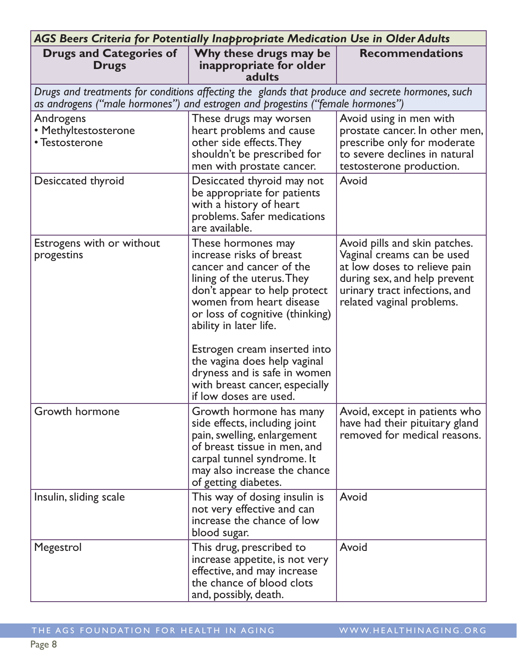| <b>AGS Beers Criteria for Potentially Inappropriate Medication Use in Older Adults</b>                                                                                             |                                                                                                                                                                                                                                                                                                                                                                                               |                                                                                                                                                                                           |  |
|------------------------------------------------------------------------------------------------------------------------------------------------------------------------------------|-----------------------------------------------------------------------------------------------------------------------------------------------------------------------------------------------------------------------------------------------------------------------------------------------------------------------------------------------------------------------------------------------|-------------------------------------------------------------------------------------------------------------------------------------------------------------------------------------------|--|
| <b>Drugs and Categories of</b><br><b>Drugs</b>                                                                                                                                     | Why these drugs may be<br>inappropriate for older<br>adults                                                                                                                                                                                                                                                                                                                                   | <b>Recommendations</b>                                                                                                                                                                    |  |
| Drugs and treatments for conditions affecting the glands that produce and secrete hormones, such<br>as androgens ("male hormones") and estrogen and progestins ("female hormones") |                                                                                                                                                                                                                                                                                                                                                                                               |                                                                                                                                                                                           |  |
| Androgens<br>• Methyltestosterone<br>• Testosterone                                                                                                                                | These drugs may worsen<br>heart problems and cause<br>other side effects. They<br>shouldn't be prescribed for<br>men with prostate cancer.                                                                                                                                                                                                                                                    | Avoid using in men with<br>prostate cancer. In other men,<br>prescribe only for moderate<br>to severe declines in natural<br>testosterone production.                                     |  |
| Desiccated thyroid                                                                                                                                                                 | Desiccated thyroid may not<br>be appropriate for patients<br>with a history of heart<br>problems. Safer medications<br>are available.                                                                                                                                                                                                                                                         | Avoid                                                                                                                                                                                     |  |
| Estrogens with or without<br>progestins                                                                                                                                            | These hormones may<br>increase risks of breast<br>cancer and cancer of the<br>lining of the uterus. They<br>don't appear to help protect<br>women from heart disease<br>or loss of cognitive (thinking)<br>ability in later life.<br>Estrogen cream inserted into<br>the vagina does help vaginal<br>dryness and is safe in women<br>with breast cancer, especially<br>if low doses are used. | Avoid pills and skin patches.<br>Vaginal creams can be used<br>at low doses to relieve pain<br>during sex, and help prevent<br>urinary tract infections, and<br>related vaginal problems. |  |
| Growth hormone                                                                                                                                                                     | Growth hormone has many<br>side effects, including joint<br>pain, swelling, enlargement<br>of breast tissue in men, and<br>carpal tunnel syndrome. It<br>may also increase the chance<br>of getting diabetes.                                                                                                                                                                                 | Avoid, except in patients who<br>have had their pituitary gland<br>removed for medical reasons.                                                                                           |  |
| Insulin, sliding scale                                                                                                                                                             | This way of dosing insulin is<br>not very effective and can<br>increase the chance of low<br>blood sugar.                                                                                                                                                                                                                                                                                     | Avoid                                                                                                                                                                                     |  |
| Megestrol                                                                                                                                                                          | This drug, prescribed to<br>increase appetite, is not very<br>effective, and may increase<br>the chance of blood clots<br>and, possibly, death.                                                                                                                                                                                                                                               | Avoid                                                                                                                                                                                     |  |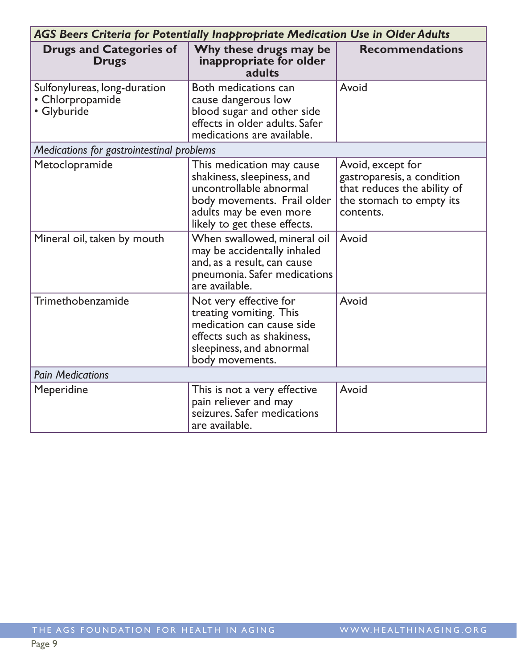| AGS Beers Criteria for Potentially Inappropriate Medication Use in Older Adults |                                                                                                                                                                              |                                                                                                                         |  |
|---------------------------------------------------------------------------------|------------------------------------------------------------------------------------------------------------------------------------------------------------------------------|-------------------------------------------------------------------------------------------------------------------------|--|
| <b>Drugs and Categories of</b><br><b>Drugs</b>                                  | Why these drugs may be<br>inappropriate for older<br>adults                                                                                                                  | <b>Recommendations</b>                                                                                                  |  |
| Sulfonylureas, long-duration<br>• Chlorpropamide<br>· Glyburide                 | Both medications can<br>cause dangerous low<br>blood sugar and other side<br>effects in older adults. Safer<br>medications are available.                                    | Avoid                                                                                                                   |  |
| Medications for gastrointestinal problems                                       |                                                                                                                                                                              |                                                                                                                         |  |
| Metoclopramide                                                                  | This medication may cause<br>shakiness, sleepiness, and<br>uncontrollable abnormal<br>body movements. Frail older<br>adults may be even more<br>likely to get these effects. | Avoid, except for<br>gastroparesis, a condition<br>that reduces the ability of<br>the stomach to empty its<br>contents. |  |
| Mineral oil, taken by mouth                                                     | When swallowed, mineral oil<br>may be accidentally inhaled<br>and, as a result, can cause<br>pneumonia. Safer medications<br>are available.                                  | Avoid                                                                                                                   |  |
| Trimethobenzamide                                                               | Not very effective for<br>treating vomiting. This<br>medication can cause side<br>effects such as shakiness,<br>sleepiness, and abnormal<br>body movements.                  | Avoid                                                                                                                   |  |
| <b>Pain Medications</b>                                                         |                                                                                                                                                                              |                                                                                                                         |  |
| Meperidine                                                                      | This is not a very effective<br>pain reliever and may<br>seizures. Safer medications<br>are available.                                                                       | Avoid                                                                                                                   |  |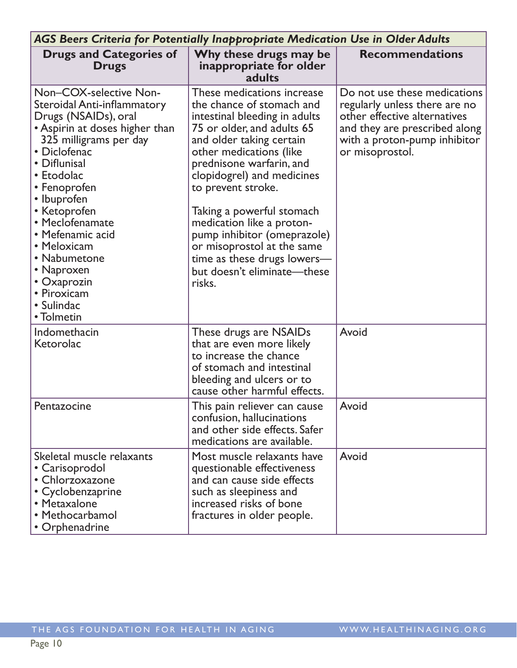| <b>AGS Beers Criteria for Potentially Inappropriate Medication Use in Older Adults</b>                                                                                                                                                                                                                                                                                               |                                                                                                                                                                                                                                                                                                                                                                                                                                                              |                                                                                                                                                                                   |  |
|--------------------------------------------------------------------------------------------------------------------------------------------------------------------------------------------------------------------------------------------------------------------------------------------------------------------------------------------------------------------------------------|--------------------------------------------------------------------------------------------------------------------------------------------------------------------------------------------------------------------------------------------------------------------------------------------------------------------------------------------------------------------------------------------------------------------------------------------------------------|-----------------------------------------------------------------------------------------------------------------------------------------------------------------------------------|--|
| <b>Drugs and Categories of</b><br><b>Drugs</b>                                                                                                                                                                                                                                                                                                                                       | Why these drugs may be<br>inappropriate for older<br>adults                                                                                                                                                                                                                                                                                                                                                                                                  | <b>Recommendations</b>                                                                                                                                                            |  |
| Non-COX-selective Non-<br>Steroidal Anti-inflammatory<br>Drugs (NSAIDs), oral<br>• Aspirin at doses higher than<br>325 milligrams per day<br>• Diclofenac<br>• Diflunisal<br>• Etodolac<br>• Fenoprofen<br>• Ibuprofen<br>• Ketoprofen<br>• Meclofenamate<br>• Mefenamic acid<br>• Meloxicam<br>• Nabumetone<br>• Naproxen<br>• Oxaprozin<br>• Piroxicam<br>• Sulindac<br>• Tolmetin | These medications increase<br>the chance of stomach and<br>intestinal bleeding in adults<br>75 or older, and adults 65<br>and older taking certain<br>other medications (like<br>prednisone warfarin, and<br>clopidogrel) and medicines<br>to prevent stroke.<br>Taking a powerful stomach<br>medication like a proton-<br>pump inhibitor (omeprazole)<br>or misoprostol at the same<br>time as these drugs lowers-<br>but doesn't eliminate—these<br>risks. | Do not use these medications<br>regularly unless there are no<br>other effective alternatives<br>and they are prescribed along<br>with a proton-pump inhibitor<br>or misoprostol. |  |
| Indomethacin<br>Ketorolac                                                                                                                                                                                                                                                                                                                                                            | These drugs are NSAIDs<br>that are even more likely<br>to increase the chance<br>of stomach and intestinal<br>bleeding and ulcers or to<br>cause other harmful effects.                                                                                                                                                                                                                                                                                      | Avoid                                                                                                                                                                             |  |
| Pentazocine                                                                                                                                                                                                                                                                                                                                                                          | This pain reliever can cause<br>confusion, hallucinations<br>and other side effects. Safer<br>medications are available.                                                                                                                                                                                                                                                                                                                                     | Avoid                                                                                                                                                                             |  |
| Skeletal muscle relaxants<br>• Carisoprodol<br>• Chlorzoxazone<br>• Cyclobenzaprine<br>• Metaxalone<br>• Methocarbamol<br>• Orphenadrine                                                                                                                                                                                                                                             | Most muscle relaxants have<br>questionable effectiveness<br>and can cause side effects<br>such as sleepiness and<br>increased risks of bone<br>fractures in older people.                                                                                                                                                                                                                                                                                    | Avoid                                                                                                                                                                             |  |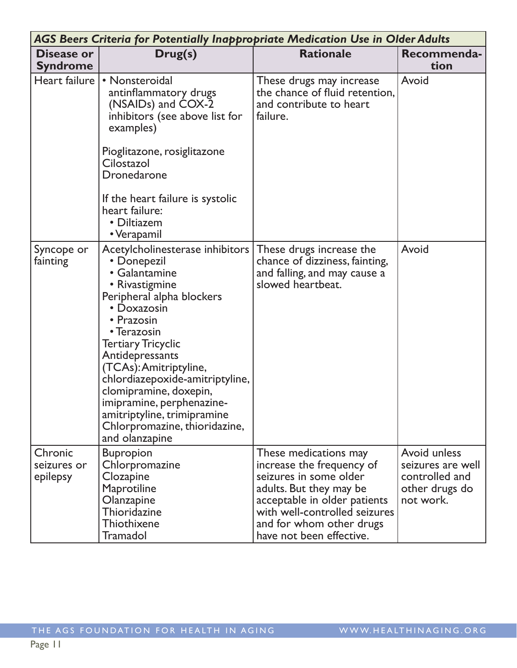|                                    | AGS Beers Criteria for Potentially Inappropriate Medication Use in Older Adults                                                                                                                                                                                                                                                                                                                                  |                                                                                                                                                                                                                                  |                                                                                    |
|------------------------------------|------------------------------------------------------------------------------------------------------------------------------------------------------------------------------------------------------------------------------------------------------------------------------------------------------------------------------------------------------------------------------------------------------------------|----------------------------------------------------------------------------------------------------------------------------------------------------------------------------------------------------------------------------------|------------------------------------------------------------------------------------|
| Disease or<br><b>Syndrome</b>      | Drug(s)                                                                                                                                                                                                                                                                                                                                                                                                          | <b>Rationale</b>                                                                                                                                                                                                                 | Recommenda-<br>tion                                                                |
| Heart failure                      | • Nonsteroidal<br>antinflammatory drugs<br>(NSAIDs) and COX-2<br>inhibitors (see above list for<br>examples)<br>Pioglitazone, rosiglitazone<br>Cilostazol<br>Dronedarone<br>If the heart failure is systolic<br>heart failure:<br>• Diltiazem<br>• Verapamil                                                                                                                                                     | These drugs may increase<br>the chance of fluid retention,<br>and contribute to heart<br>failure.                                                                                                                                | Avoid                                                                              |
| Syncope or<br>fainting             | Acetylcholinesterase inhibitors<br>• Donepezil<br>• Galantamine<br>• Rivastigmine<br>Peripheral alpha blockers<br>• Doxazosin<br>• Prazosin<br>• Terazosin<br><b>Tertiary Tricyclic</b><br>Antidepressants<br>(TCAs): Amitriptyline,<br>chlordiazepoxide-amitriptyline,<br>clomipramine, doxepin,<br>imipramine, perphenazine-<br>amitriptyline, trimipramine<br>Chlorpromazine, thioridazine,<br>and olanzapine | These drugs increase the<br>chance of dizziness, fainting,<br>and falling, and may cause a<br>slowed heartbeat.                                                                                                                  | Avoid                                                                              |
| Chronic<br>seizures or<br>epilepsy | <b>Bupropion</b><br>Chlorpromazine<br>Clozapine<br><b>Maprotiline</b><br>Olanzapine<br>Thioridazine<br>Thiothixene<br>Tramadol                                                                                                                                                                                                                                                                                   | These medications may<br>increase the frequency of<br>seizures in some older<br>adults. But they may be<br>acceptable in older patients<br>with well-controlled seizures<br>and for whom other drugs<br>have not been effective. | Avoid unless<br>seizures are well<br>controlled and<br>other drugs do<br>not work. |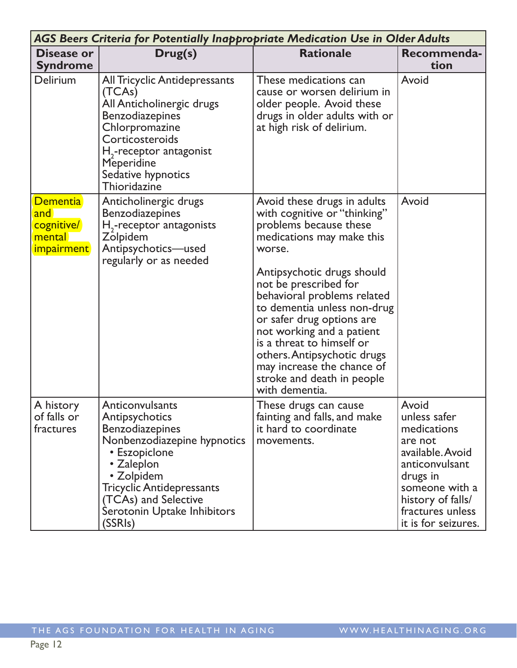|                                                                     | <b>AGS Beers Criteria for Potentially Inappropriate Medication Use in Older Adults</b>                                                                                                                                                        |                                                                                                                                                                                                                                                                                                                                                                                                                                                       |                                                                                                                                                                                     |  |
|---------------------------------------------------------------------|-----------------------------------------------------------------------------------------------------------------------------------------------------------------------------------------------------------------------------------------------|-------------------------------------------------------------------------------------------------------------------------------------------------------------------------------------------------------------------------------------------------------------------------------------------------------------------------------------------------------------------------------------------------------------------------------------------------------|-------------------------------------------------------------------------------------------------------------------------------------------------------------------------------------|--|
| <b>Disease or</b><br><b>Syndrome</b>                                | Drug(s)                                                                                                                                                                                                                                       | <b>Rationale</b>                                                                                                                                                                                                                                                                                                                                                                                                                                      | Recommenda-<br>tion                                                                                                                                                                 |  |
| Delirium                                                            | All Tricyclic Antidepressants<br>(TCAs)<br>All Anticholinergic drugs<br><b>Benzodiazepines</b><br>Chlorpromazine<br>Corticosteroids<br>$H2$ -receptor antagonist<br>Meperidine<br>Sedative hypnotics<br>Thioridazine                          | These medications can<br>cause or worsen delirium in<br>older people. Avoid these<br>drugs in older adults with or<br>at high risk of delirium.                                                                                                                                                                                                                                                                                                       | Avoid                                                                                                                                                                               |  |
| <b>Dementia</b><br>and<br>cognitive/<br>mental<br><i>impairment</i> | Anticholinergic drugs<br><b>Benzodiazepines</b><br>$H2$ -receptor antagonists<br>Zolpidem<br>Antipsychotics-used<br>regularly or as needed                                                                                                    | Avoid these drugs in adults<br>with cognitive or "thinking"<br>problems because these<br>medications may make this<br>worse.<br>Antipsychotic drugs should<br>not be prescribed for<br>behavioral problems related<br>to dementia unless non-drug<br>or safer drug options are<br>not working and a patient<br>is a threat to himself or<br>others. Antipsychotic drugs<br>may increase the chance of<br>stroke and death in people<br>with dementia. | Avoid                                                                                                                                                                               |  |
| A history<br>of falls or<br>fractures                               | Anticonvulsants<br>Antipsychotics<br><b>Benzodiazepines</b><br>Nonbenzodiazepine hypnotics<br>• Eszopiclone<br>• Zaleplon<br>• Zolpidem<br><b>Tricyclic Antidepressants</b><br>(TCAs) and Selective<br>Serotonin Uptake Inhibitors<br>(SSRIs) | These drugs can cause<br>fainting and falls, and make<br>it hard to coordinate<br>movements.                                                                                                                                                                                                                                                                                                                                                          | Avoid<br>unless safer<br>medications<br>are not<br>available. Avoid<br>anticonvulsant<br>drugs in<br>someone with a<br>history of falls/<br>fractures unless<br>it is for seizures. |  |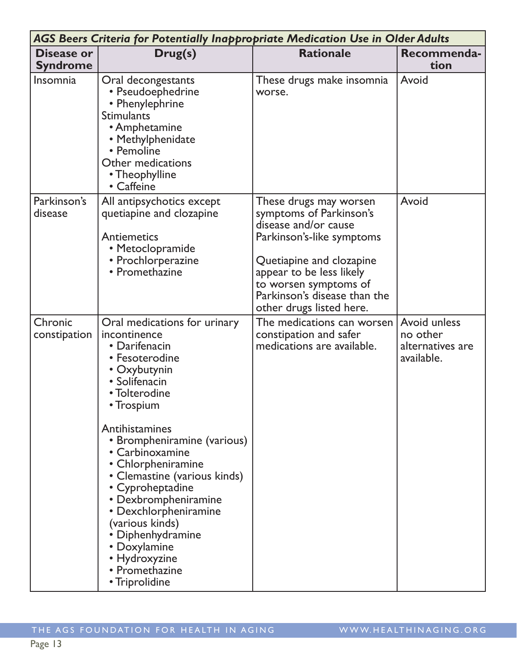| AGS Beers Criteria for Potentially Inappropriate Medication Use in Older Adults |                                                                                                                                                                                                                                                                                                                                                                                                                                                             |                                                                                                                                                                                                                                                     |                                                            |
|---------------------------------------------------------------------------------|-------------------------------------------------------------------------------------------------------------------------------------------------------------------------------------------------------------------------------------------------------------------------------------------------------------------------------------------------------------------------------------------------------------------------------------------------------------|-----------------------------------------------------------------------------------------------------------------------------------------------------------------------------------------------------------------------------------------------------|------------------------------------------------------------|
| <b>Disease or</b><br><b>Syndrome</b>                                            | Drug(s)                                                                                                                                                                                                                                                                                                                                                                                                                                                     | <b>Rationale</b>                                                                                                                                                                                                                                    | Recommenda-<br>tion                                        |
| Insomnia                                                                        | Oral decongestants<br>• Pseudoephedrine<br>• Phenylephrine<br><b>Stimulants</b><br>• Amphetamine<br>• Methylphenidate<br>• Pemoline<br>Other medications<br>• Theophylline<br>• Caffeine                                                                                                                                                                                                                                                                    | These drugs make insomnia<br>worse.                                                                                                                                                                                                                 | Avoid                                                      |
| Parkinson's<br>disease                                                          | All antipsychotics except<br>quetiapine and clozapine<br><b>Antiemetics</b><br>• Metoclopramide<br>• Prochlorperazine<br>• Promethazine                                                                                                                                                                                                                                                                                                                     | These drugs may worsen<br>symptoms of Parkinson's<br>disease and/or cause<br>Parkinson's-like symptoms<br>Quetiapine and clozapine<br>appear to be less likely<br>to worsen symptoms of<br>Parkinson's disease than the<br>other drugs listed here. | Avoid                                                      |
| Chronic<br>constipation                                                         | Oral medications for urinary<br>incontinence<br>• Darifenacin<br>• Fesoterodine<br>• Oxybutynin<br>• Solifenacin<br>• Tolterodine<br>• Trospium<br>Antihistamines<br>• Brompheniramine (various)<br>• Carbinoxamine<br>• Chlorpheniramine<br>• Clemastine (various kinds)<br>• Cyproheptadine<br>• Dexbrompheniramine<br>• Dexchlorpheniramine<br>(various kinds)<br>• Diphenhydramine<br>• Doxylamine<br>• Hydroxyzine<br>• Promethazine<br>• Triprolidine | The medications can worsen<br>constipation and safer<br>medications are available.                                                                                                                                                                  | Avoid unless<br>no other<br>alternatives are<br>available. |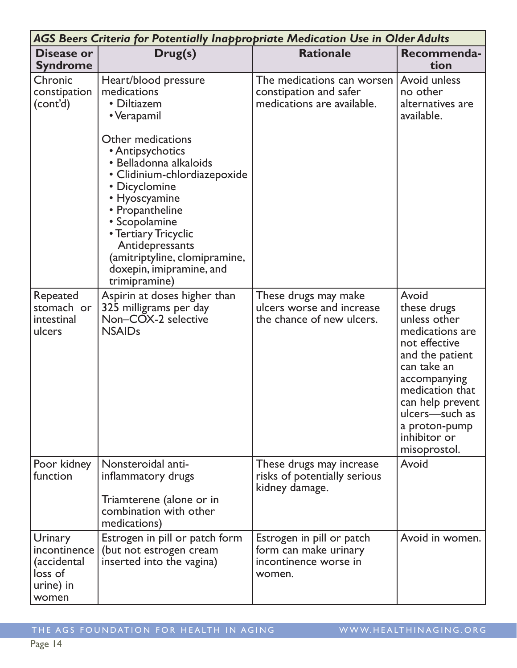| AGS Beers Criteria for Potentially Inappropriate Medication Use in Older Adults |                                                                                                                                                                                                                                                                                                                                                                     |                                                                                       |                                                                                                                                                                                                                                      |
|---------------------------------------------------------------------------------|---------------------------------------------------------------------------------------------------------------------------------------------------------------------------------------------------------------------------------------------------------------------------------------------------------------------------------------------------------------------|---------------------------------------------------------------------------------------|--------------------------------------------------------------------------------------------------------------------------------------------------------------------------------------------------------------------------------------|
| <b>Disease or</b><br><b>Syndrome</b>                                            | Drug(s)                                                                                                                                                                                                                                                                                                                                                             | <b>Rationale</b>                                                                      | Recommenda-<br>tion                                                                                                                                                                                                                  |
| Chronic<br>constipation<br>(cont'd)                                             | Heart/blood pressure<br>medications<br>• Diltiazem<br>• Verapamil<br>Other medications<br>• Antipsychotics<br>· Belladonna alkaloids<br>• Clidinium-chlordiazepoxide<br>• Dicyclomine<br>• Hyoscyamine<br>• Propantheline<br>• Scopolamine<br>• Tertiary Tricyclic<br>Antidepressants<br>(amitriptyline, clomipramine,<br>doxepin, imipramine, and<br>trimipramine) | The medications can worsen<br>constipation and safer<br>medications are available.    | Avoid unless<br>no other<br>alternatives are<br>available.                                                                                                                                                                           |
| Repeated<br>stomach or<br>intestinal<br>ulcers                                  | Aspirin at doses higher than<br>325 milligrams per day<br>Non-COX-2 selective<br><b>NSAIDs</b>                                                                                                                                                                                                                                                                      | These drugs may make<br>ulcers worse and increase<br>the chance of new ulcers.        | Avoid<br>these drugs<br>unless other<br>medications are<br>not effective<br>and the patient<br>can take an<br>accompanying<br>medication that<br>can help prevent<br>ulcers-such as<br>a proton-pump<br>inhibitor or<br>misoprostol. |
| Poor kidney<br>function                                                         | Nonsteroidal anti-<br>inflammatory drugs<br>Triamterene (alone or in<br>combination with other<br>medications)                                                                                                                                                                                                                                                      | These drugs may increase<br>risks of potentially serious<br>kidney damage.            | Avoid                                                                                                                                                                                                                                |
| Urinary<br>incontinence<br>(accidental<br>loss of<br>urine) in<br>women         | Estrogen in pill or patch form<br>(but not estrogen cream<br>inserted into the vagina)                                                                                                                                                                                                                                                                              | Estrogen in pill or patch<br>form can make urinary<br>incontinence worse in<br>women. | Avoid in women.                                                                                                                                                                                                                      |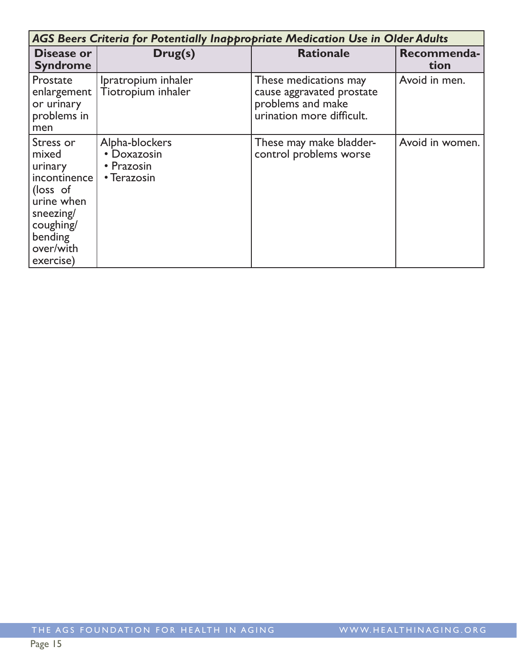| AGS Beers Criteria for Potentially Inappropriate Medication Use in Older Adults                                                        |                                                            |                                                                                                      |                     |  |
|----------------------------------------------------------------------------------------------------------------------------------------|------------------------------------------------------------|------------------------------------------------------------------------------------------------------|---------------------|--|
| Disease or<br><b>Syndrome</b>                                                                                                          | Drug(s)                                                    | <b>Rationale</b>                                                                                     | Recommenda-<br>tion |  |
| Prostate<br>enlargement<br>or urinary<br>problems in<br>men                                                                            | Ipratropium inhaler<br>Tiotropium inhaler                  | These medications may<br>cause aggravated prostate<br>problems and make<br>urination more difficult. | Avoid in men.       |  |
| Stress or<br>mixed<br>urinary<br>incontinence<br>(loss of<br>urine when<br>sneezing/<br>coughing/<br>bending<br>over/with<br>exercise) | Alpha-blockers<br>• Doxazosin<br>• Prazosin<br>• Terazosin | These may make bladder-<br>control problems worse                                                    | Avoid in women.     |  |